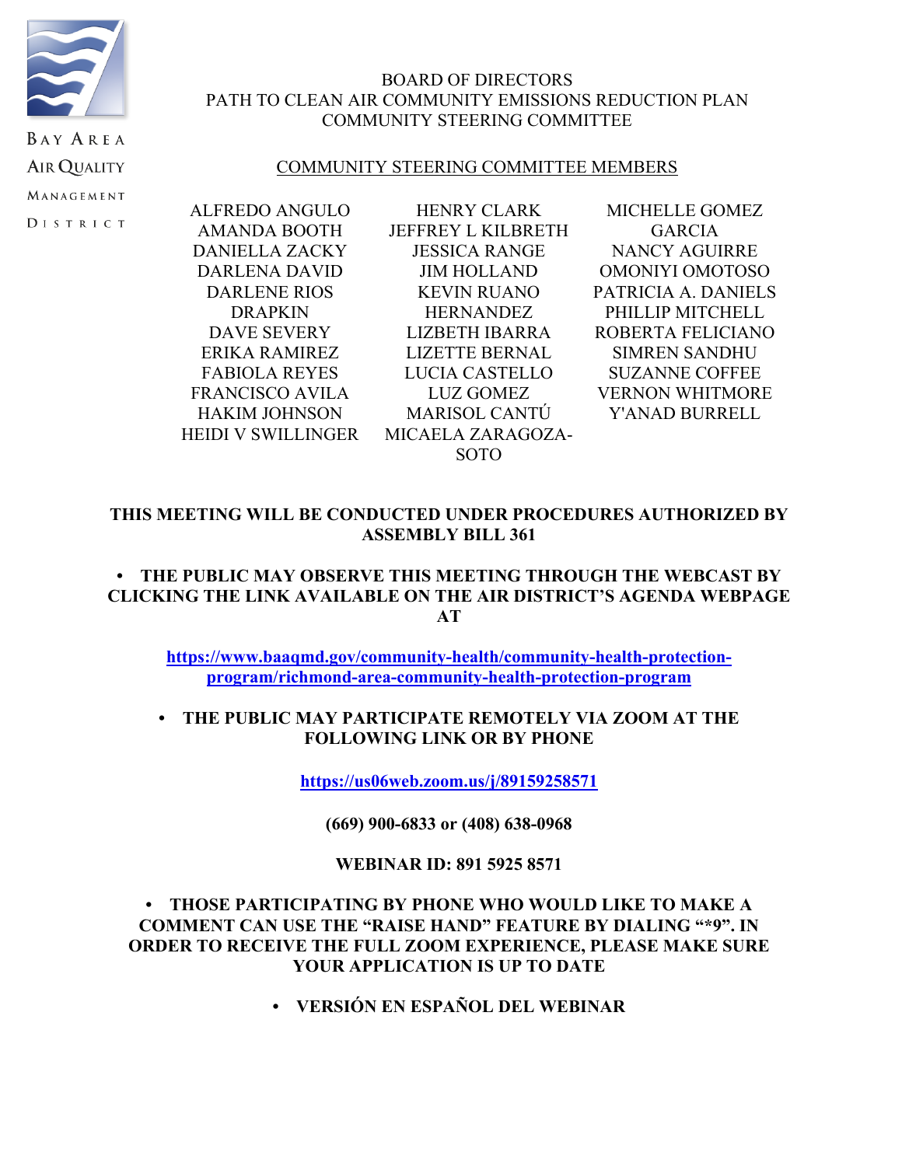

## BOARD OF DIRECTORS PATH TO CLEAN AIR COMMUNITY EMISSIONS REDUCTION PLAN COMMUNITY STEERING COMMITTEE

## COMMUNITY STEERING COMMITTEE MEMBERS

ALFREDO ANGULO AMANDA BOOTH DANIELLA ZACKY DARLENA DAVID DARLENE RIOS DRAPKIN DAVE SEVERY ERIKA RAMIREZ FABIOLA REYES FRANCISCO AVILA HAKIM JOHNSON HEIDI V SWILLINGER

HENRY CLARK JEFFREY L KILBRETH JESSICA RANGE JIM HOLLAND KEVIN RUANO **HERNANDEZ** LIZBETH IBARRA LIZETTE BERNAL LUCIA CASTELLO LUZ GOMEZ MARISOL CANTÚ MICAELA ZARAGOZA-SOTO

MICHELLE GOMEZ GARCIA NANCY AGUIRRE OMONIYI OMOTOSO PATRICIA A. DANIELS PHILLIP MITCHELL ROBERTA FELICIANO SIMREN SANDHU SUZANNE COFFEE VERNON WHITMORE Y'ANAD BURRELL

## **THIS MEETING WILL BE CONDUCTED UNDER PROCEDURES AUTHORIZED BY ASSEMBLY BILL 361**

## **• THE PUBLIC MAY OBSERVE THIS MEETING THROUGH THE WEBCAST BY CLICKING THE LINK AVAILABLE ON THE AIR DISTRICT'S AGENDA WEBPAGE AT**

**https://www.baaqmd.gov/community-health/community-health-protectionprogram/richmond-area-community-health-protection-program**

## **• THE PUBLIC MAY PARTICIPATE REMOTELY VIA ZOOM AT THE FOLLOWING LINK OR BY PHONE**

**https://us06web.zoom.us/j/89159258571**

**(669) 900-6833 or (408) 638-0968**

## **WEBINAR ID: 891 5925 8571**

## **• THOSE PARTICIPATING BY PHONE WHO WOULD LIKE TO MAKE A COMMENT CAN USE THE "RAISE HAND" FEATURE BY DIALING "\*9". IN ORDER TO RECEIVE THE FULL ZOOM EXPERIENCE, PLEASE MAKE SURE YOUR APPLICATION IS UP TO DATE**

**• VERSIÓN EN ESPAÑOL DEL WEBINAR**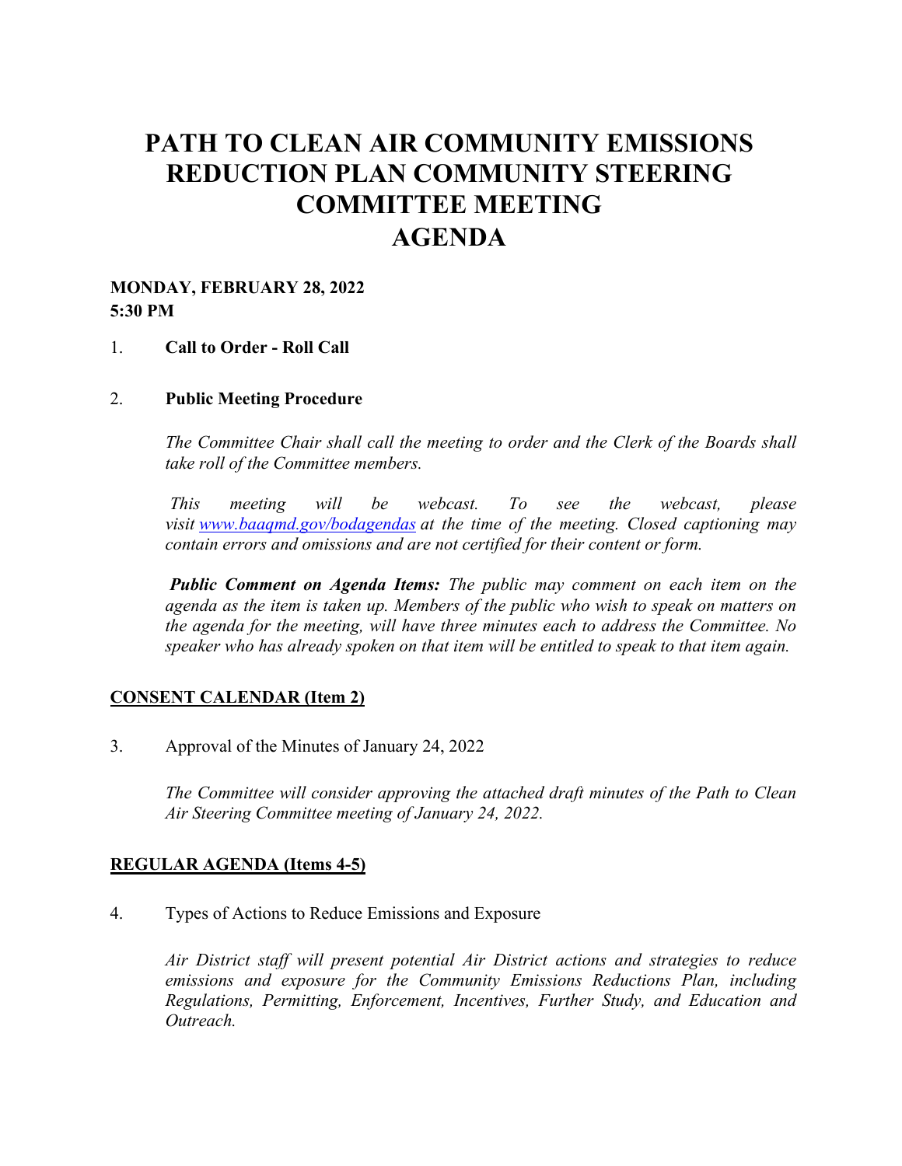# **PATH TO CLEAN AIR COMMUNITY EMISSIONS REDUCTION PLAN COMMUNITY STEERING COMMITTEE MEETING AGENDA**

## **MONDAY, FEBRUARY 28, 2022 5:30 PM**

#### 1. **Call to Order - Roll Call**

#### 2. **Public Meeting Procedure**

*The Committee Chair shall call the meeting to order and the Clerk of the Boards shall take roll of the Committee members.* 

 *This meeting will be webcast. To see the webcast, please visit www.baaqmd.gov/bodagendas at the time of the meeting. Closed captioning may contain errors and omissions and are not certified for their content or form.* 

*Public Comment on Agenda Items: The public may comment on each item on the agenda as the item is taken up. Members of the public who wish to speak on matters on the agenda for the meeting, will have three minutes each to address the Committee. No speaker who has already spoken on that item will be entitled to speak to that item again.*

## **CONSENT CALENDAR (Item 2)**

3. Approval of the Minutes of January 24, 2022

*The Committee will consider approving the attached draft minutes of the Path to Clean Air Steering Committee meeting of January 24, 2022.* 

## **REGULAR AGENDA (Items 4-5)**

4. Types of Actions to Reduce Emissions and Exposure

*Air District staff will present potential Air District actions and strategies to reduce emissions and exposure for the Community Emissions Reductions Plan, including Regulations, Permitting, Enforcement, Incentives, Further Study, and Education and Outreach.*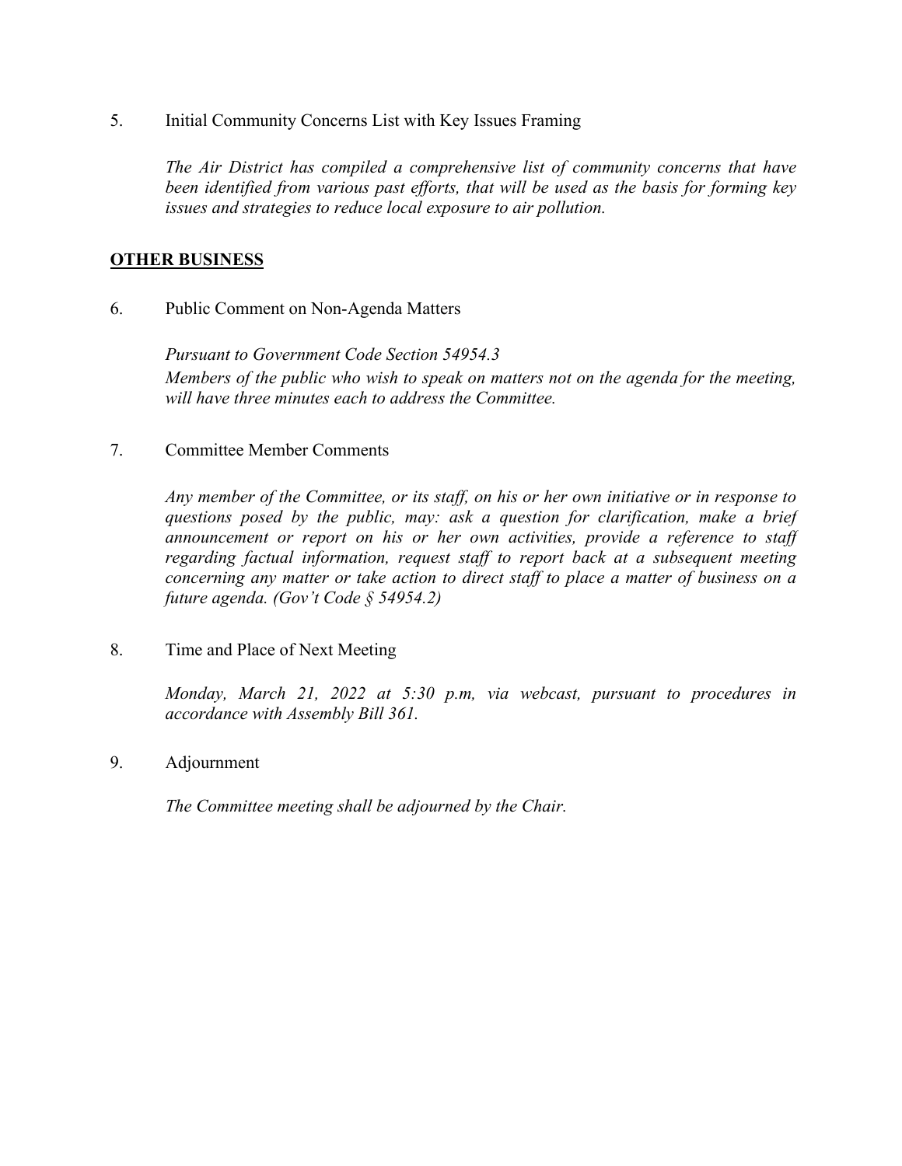5. Initial Community Concerns List with Key Issues Framing

*The Air District has compiled a comprehensive list of community concerns that have been identified from various past efforts, that will be used as the basis for forming key issues and strategies to reduce local exposure to air pollution.* 

## **OTHER BUSINESS**

6. Public Comment on Non-Agenda Matters

*Pursuant to Government Code Section 54954.3 Members of the public who wish to speak on matters not on the agenda for the meeting, will have three minutes each to address the Committee.*

7. Committee Member Comments

*Any member of the Committee, or its staff, on his or her own initiative or in response to questions posed by the public, may: ask a question for clarification, make a brief announcement or report on his or her own activities, provide a reference to staff regarding factual information, request staff to report back at a subsequent meeting concerning any matter or take action to direct staff to place a matter of business on a future agenda. (Gov't Code § 54954.2)*

8. Time and Place of Next Meeting

*Monday, March 21, 2022 at 5:30 p.m, via webcast, pursuant to procedures in accordance with Assembly Bill 361.* 

9. Adjournment

*The Committee meeting shall be adjourned by the Chair.*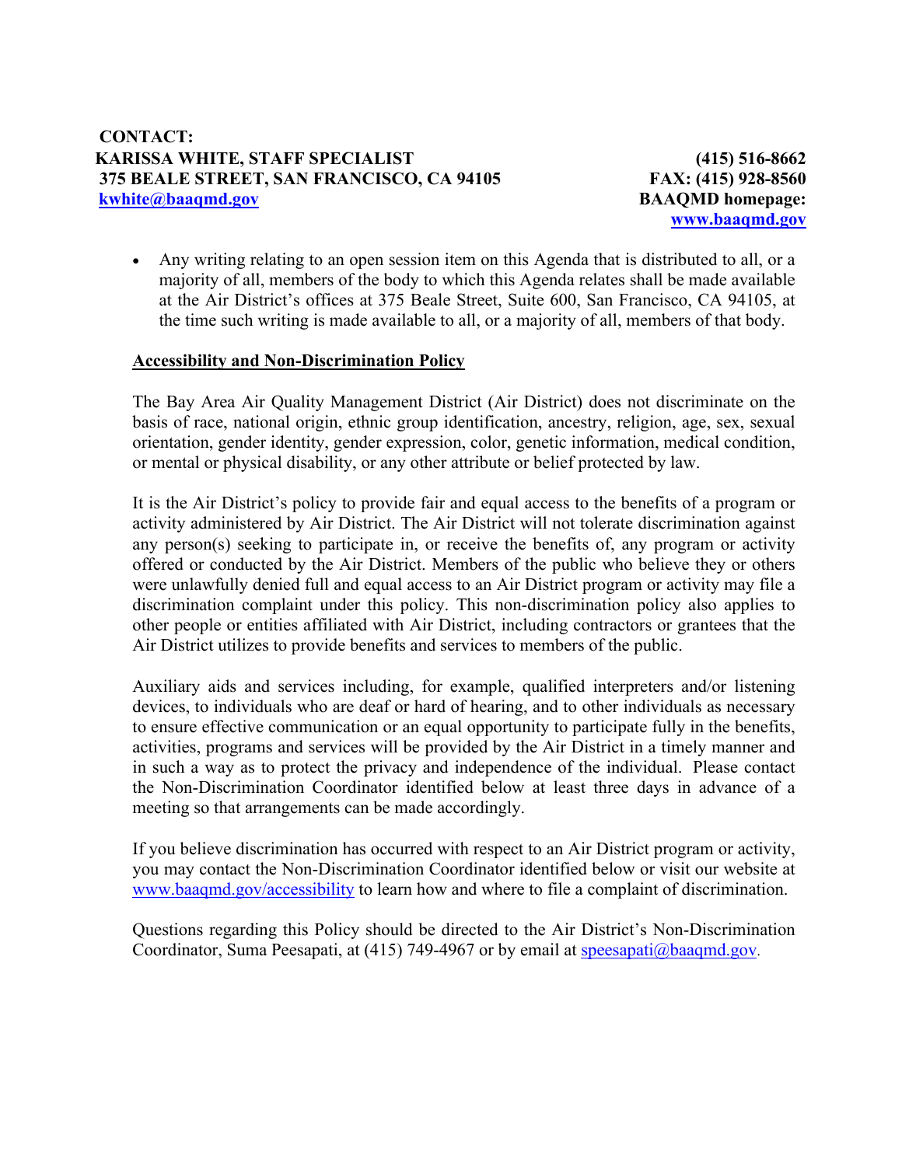**(415) 516-8662 FAX: (415) 928-8560 BAAQMD homepage: www.baaqmd.gov**

 Any writing relating to an open session item on this Agenda that is distributed to all, or a majority of all, members of the body to which this Agenda relates shall be made available at the Air District's offices at 375 Beale Street, Suite 600, San Francisco, CA 94105, at the time such writing is made available to all, or a majority of all, members of that body.

## **Accessibility and Non-Discrimination Policy**

The Bay Area Air Quality Management District (Air District) does not discriminate on the basis of race, national origin, ethnic group identification, ancestry, religion, age, sex, sexual orientation, gender identity, gender expression, color, genetic information, medical condition, or mental or physical disability, or any other attribute or belief protected by law.

It is the Air District's policy to provide fair and equal access to the benefits of a program or activity administered by Air District. The Air District will not tolerate discrimination against any person(s) seeking to participate in, or receive the benefits of, any program or activity offered or conducted by the Air District. Members of the public who believe they or others were unlawfully denied full and equal access to an Air District program or activity may file a discrimination complaint under this policy. This non-discrimination policy also applies to other people or entities affiliated with Air District, including contractors or grantees that the Air District utilizes to provide benefits and services to members of the public.

Auxiliary aids and services including, for example, qualified interpreters and/or listening devices, to individuals who are deaf or hard of hearing, and to other individuals as necessary to ensure effective communication or an equal opportunity to participate fully in the benefits, activities, programs and services will be provided by the Air District in a timely manner and in such a way as to protect the privacy and independence of the individual. Please contact the Non-Discrimination Coordinator identified below at least three days in advance of a meeting so that arrangements can be made accordingly.

If you believe discrimination has occurred with respect to an Air District program or activity, you may contact the Non-Discrimination Coordinator identified below or visit our website at www.baaqmd.gov/accessibility to learn how and where to file a complaint of discrimination.

Questions regarding this Policy should be directed to the Air District's Non-Discrimination Coordinator, Suma Peesapati, at (415) 749-4967 or by email at speesapati@baaqmd.gov.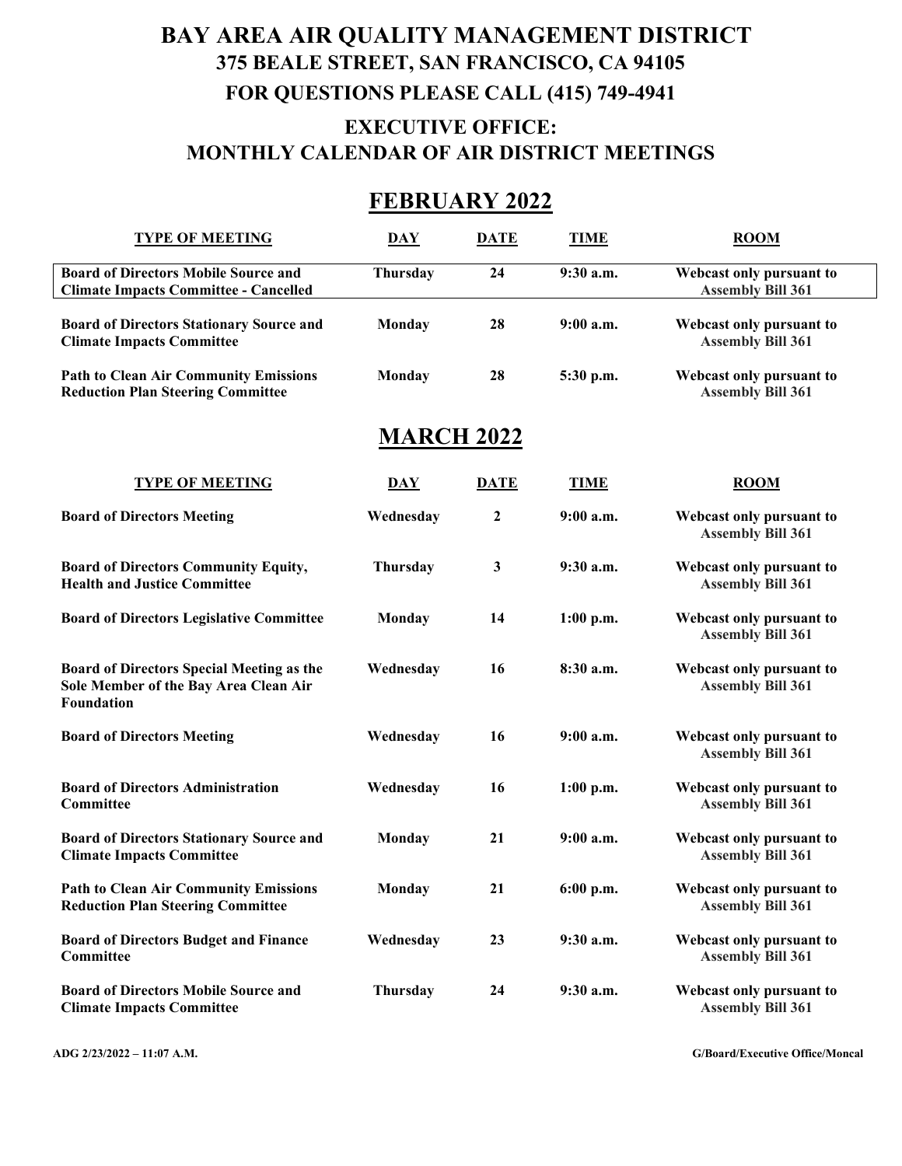# **BAY AREA AIR QUALITY MANAGEMENT DISTRICT 375 BEALE STREET, SAN FRANCISCO, CA 94105 FOR QUESTIONS PLEASE CALL (415) 749-4941 EXECUTIVE OFFICE: MONTHLY CALENDAR OF AIR DISTRICT MEETINGS**

# **FEBRUARY 2022**

| <b>TYPE OF MEETING</b>                                                                                  | <b>DAY</b>      | <b>DATE</b>      | <b>TIME</b> | <b>ROOM</b>                                          |
|---------------------------------------------------------------------------------------------------------|-----------------|------------------|-------------|------------------------------------------------------|
| <b>Board of Directors Mobile Source and</b><br><b>Climate Impacts Committee - Cancelled</b>             | Thursday        | 24               | 9:30 a.m.   | Webcast only pursuant to<br><b>Assembly Bill 361</b> |
| <b>Board of Directors Stationary Source and</b><br><b>Climate Impacts Committee</b>                     | Monday          | 28               | $9:00$ a.m. | Webcast only pursuant to<br><b>Assembly Bill 361</b> |
| <b>Path to Clean Air Community Emissions</b><br><b>Reduction Plan Steering Committee</b>                | Monday          | 28               | 5:30 p.m.   | Webcast only pursuant to<br><b>Assembly Bill 361</b> |
| <b>MARCH 2022</b>                                                                                       |                 |                  |             |                                                      |
| <b>TYPE OF MEETING</b>                                                                                  | DAY             | <b>DATE</b>      | <b>TIME</b> | $_{\rm ROM}$                                         |
| <b>Board of Directors Meeting</b>                                                                       | Wednesday       | $\boldsymbol{2}$ | $9:00$ a.m. | Webcast only pursuant to<br><b>Assembly Bill 361</b> |
| <b>Board of Directors Community Equity,</b><br><b>Health and Justice Committee</b>                      | <b>Thursday</b> | 3                | 9:30 a.m.   | Webcast only pursuant to<br><b>Assembly Bill 361</b> |
| <b>Board of Directors Legislative Committee</b>                                                         | Monday          | 14               | $1:00$ p.m. | Webcast only pursuant to<br><b>Assembly Bill 361</b> |
| Board of Directors Special Meeting as the<br>Sole Member of the Bay Area Clean Air<br><b>Foundation</b> | Wednesday       | 16               | 8:30 a.m.   | Webcast only pursuant to<br><b>Assembly Bill 361</b> |
| <b>Board of Directors Meeting</b>                                                                       | Wednesday       | 16               | $9:00$ a.m. | Webcast only pursuant to<br><b>Assembly Bill 361</b> |
| <b>Board of Directors Administration</b><br>Committee                                                   | Wednesday       | 16               | $1:00$ p.m. | Webcast only pursuant to<br><b>Assembly Bill 361</b> |
| <b>Board of Directors Stationary Source and</b><br><b>Climate Impacts Committee</b>                     | Monday          | 21               | $9:00$ a.m. | Webcast only pursuant to<br><b>Assembly Bill 361</b> |
| <b>Path to Clean Air Community Emissions</b><br><b>Reduction Plan Steering Committee</b>                | Monday          | 21               | $6:00$ p.m. | Webcast only pursuant to<br><b>Assembly Bill 361</b> |
| <b>Board of Directors Budget and Finance</b><br>Committee                                               | Wednesday       | 23               | 9:30 a.m.   | Webcast only pursuant to<br><b>Assembly Bill 361</b> |
| <b>Board of Directors Mobile Source and</b><br><b>Climate Impacts Committee</b>                         | Thursday        | 24               | $9:30$ a.m. | Webcast only pursuant to<br><b>Assembly Bill 361</b> |

**ADG 2/23/2022 – 11:07 A.M. G/Board/Executive Office/Moncal**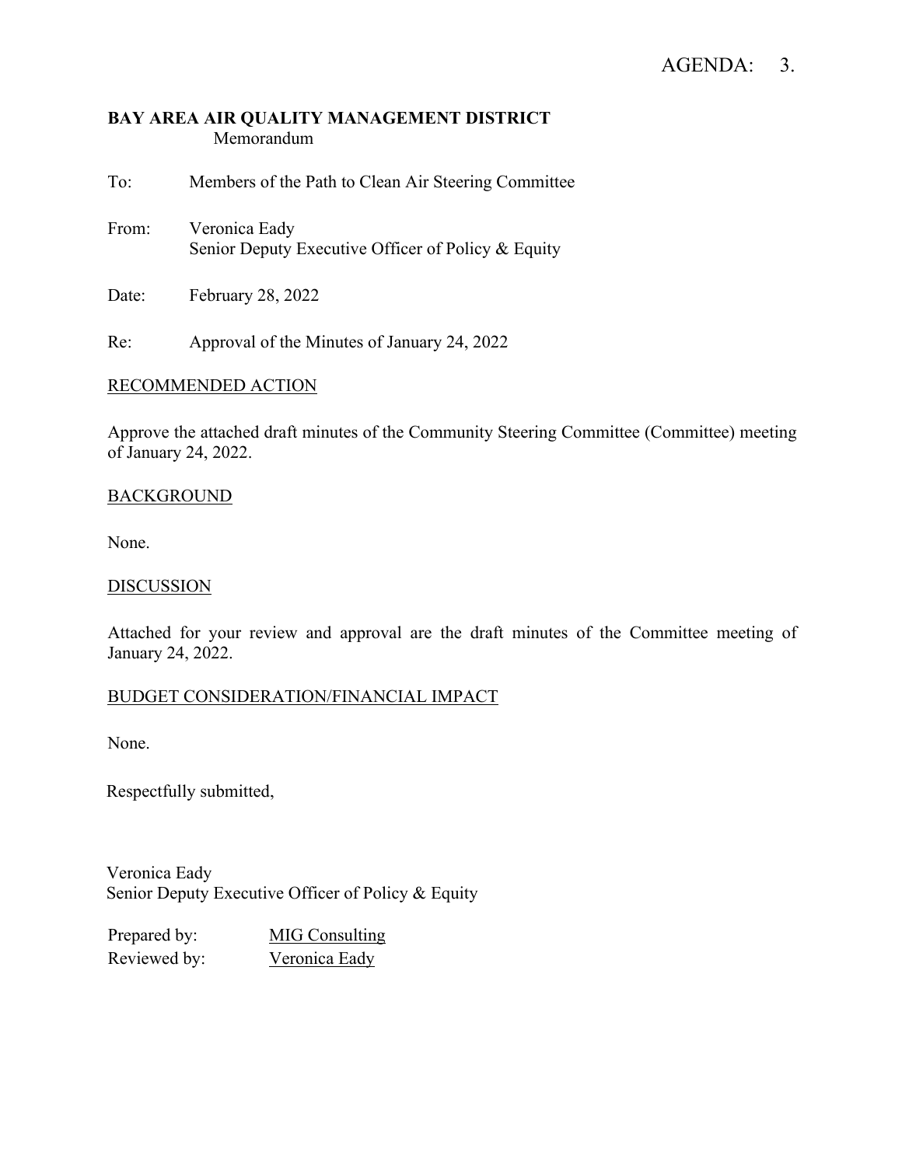# AGENDA: 3.

## **BAY AREA AIR QUALITY MANAGEMENT DISTRICT** Memorandum

To: Members of the Path to Clean Air Steering Committee

- From: Veronica Eady Senior Deputy Executive Officer of Policy & Equity
- Date: February 28, 2022

Re: Approval of the Minutes of January 24, 2022

## RECOMMENDED ACTION

Approve the attached draft minutes of the Community Steering Committee (Committee) meeting of January 24, 2022.

## BACKGROUND

None.

#### **DISCUSSION**

Attached for your review and approval are the draft minutes of the Committee meeting of January 24, 2022.

## BUDGET CONSIDERATION/FINANCIAL IMPACT

None.

Respectfully submitted,

Veronica Eady Senior Deputy Executive Officer of Policy & Equity

Prepared by: MIG Consulting Reviewed by: Veronica Eady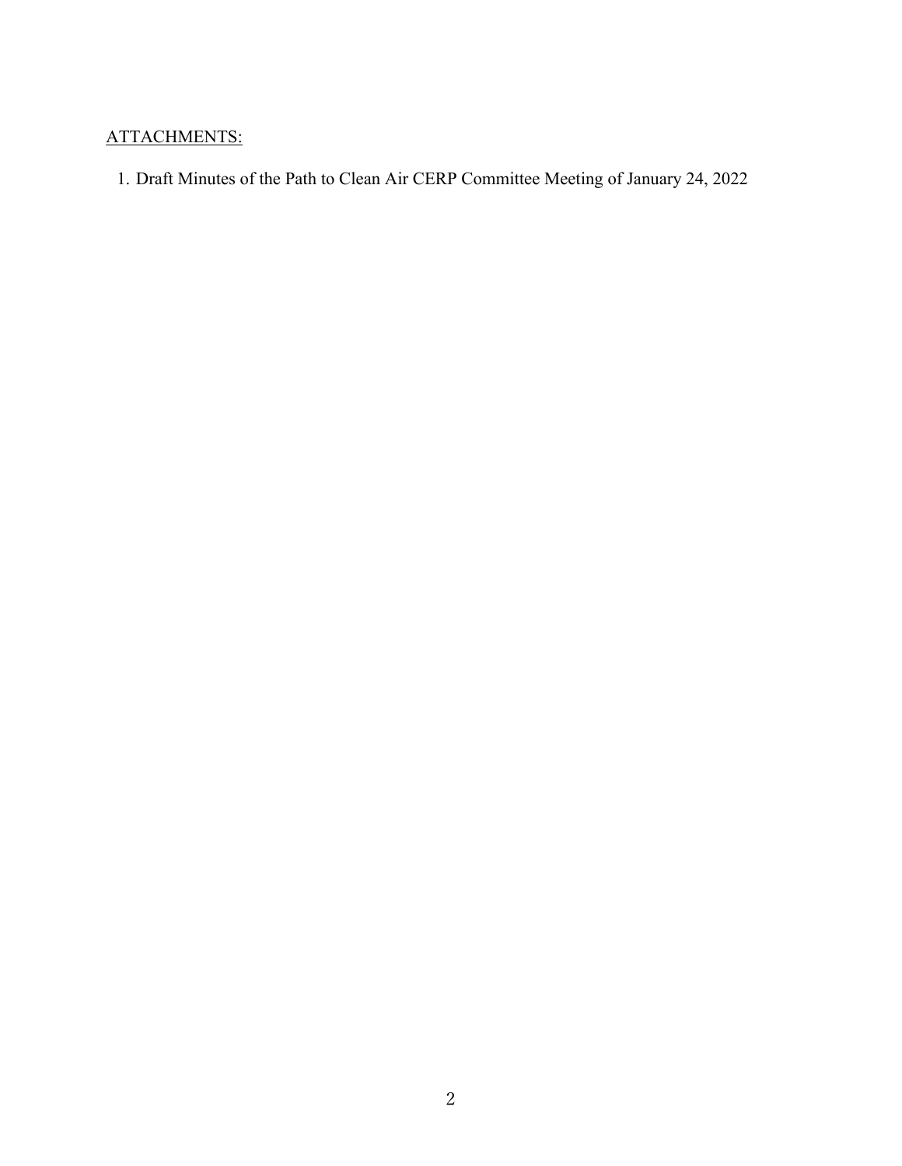# ATTACHMENTS:

1. Draft Minutes of the Path to Clean Air CERP Committee Meeting of January 24, 2022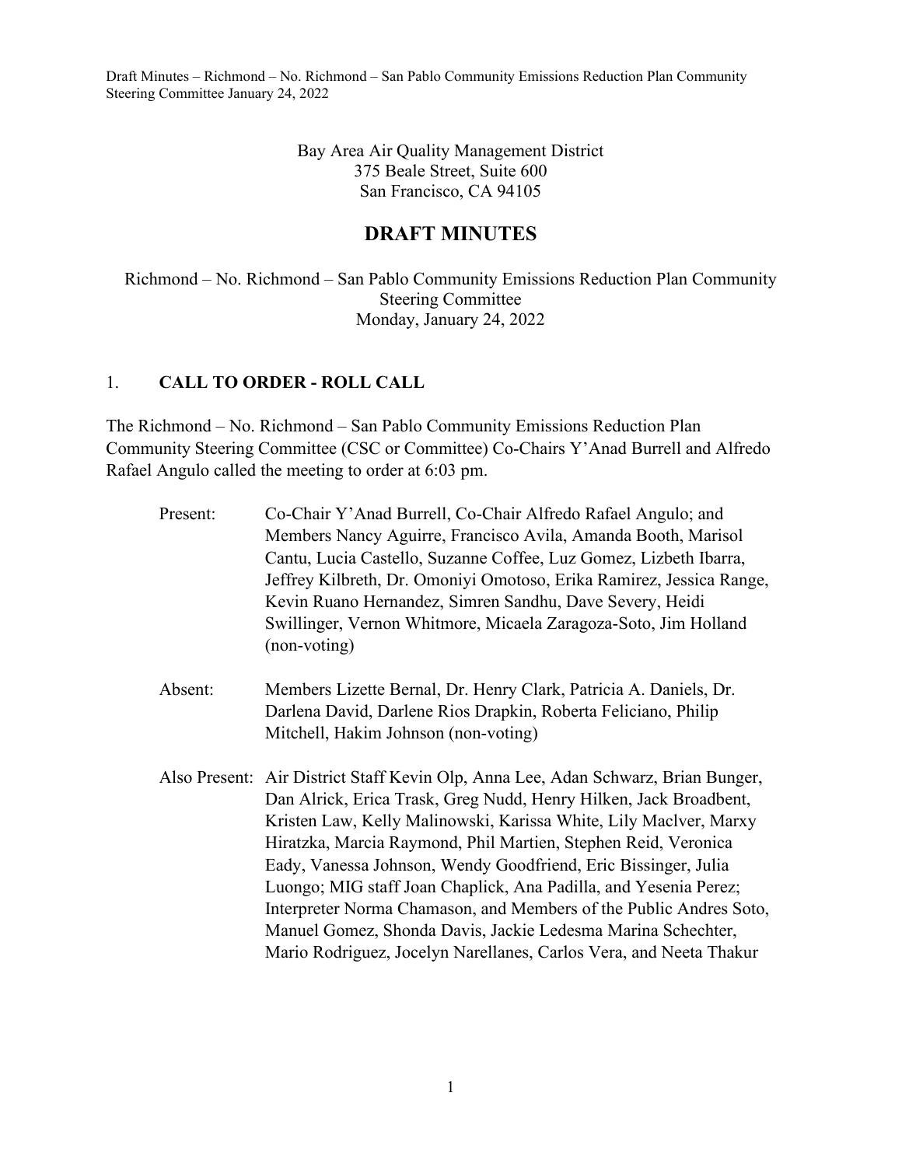> Bay Area Air Quality Management District 375 Beale Street, Suite 600 San Francisco, CA 94105

## **DRAFT MINUTES**

Richmond – No. Richmond – San Pablo Community Emissions Reduction Plan Community Steering Committee Monday, January 24, 2022

## 1. **CALL TO ORDER - ROLL CALL**

The Richmond – No. Richmond – San Pablo Community Emissions Reduction Plan Community Steering Committee (CSC or Committee) Co-Chairs Y'Anad Burrell and Alfredo Rafael Angulo called the meeting to order at 6:03 pm.

| Present: | Co-Chair Y'Anad Burrell, Co-Chair Alfredo Rafael Angulo; and<br>Members Nancy Aguirre, Francisco Avila, Amanda Booth, Marisol<br>Cantu, Lucia Castello, Suzanne Coffee, Luz Gomez, Lizbeth Ibarra,<br>Jeffrey Kilbreth, Dr. Omoniyi Omotoso, Erika Ramirez, Jessica Range,<br>Kevin Ruano Hernandez, Simren Sandhu, Dave Severy, Heidi                                                                                                                                                                                                                                                                                                          |
|----------|-------------------------------------------------------------------------------------------------------------------------------------------------------------------------------------------------------------------------------------------------------------------------------------------------------------------------------------------------------------------------------------------------------------------------------------------------------------------------------------------------------------------------------------------------------------------------------------------------------------------------------------------------|
|          | Swillinger, Vernon Whitmore, Micaela Zaragoza-Soto, Jim Holland<br>(non-voting)                                                                                                                                                                                                                                                                                                                                                                                                                                                                                                                                                                 |
| Absent:  | Members Lizette Bernal, Dr. Henry Clark, Patricia A. Daniels, Dr.<br>Darlena David, Darlene Rios Drapkin, Roberta Feliciano, Philip<br>Mitchell, Hakim Johnson (non-voting)                                                                                                                                                                                                                                                                                                                                                                                                                                                                     |
|          | Also Present: Air District Staff Kevin Olp, Anna Lee, Adan Schwarz, Brian Bunger,<br>Dan Alrick, Erica Trask, Greg Nudd, Henry Hilken, Jack Broadbent,<br>Kristen Law, Kelly Malinowski, Karissa White, Lily Maclver, Marxy<br>Hiratzka, Marcia Raymond, Phil Martien, Stephen Reid, Veronica<br>Eady, Vanessa Johnson, Wendy Goodfriend, Eric Bissinger, Julia<br>Luongo; MIG staff Joan Chaplick, Ana Padilla, and Yesenia Perez;<br>Interpreter Norma Chamason, and Members of the Public Andres Soto,<br>Manuel Gomez, Shonda Davis, Jackie Ledesma Marina Schechter,<br>Mario Rodriguez, Jocelyn Narellanes, Carlos Vera, and Neeta Thakur |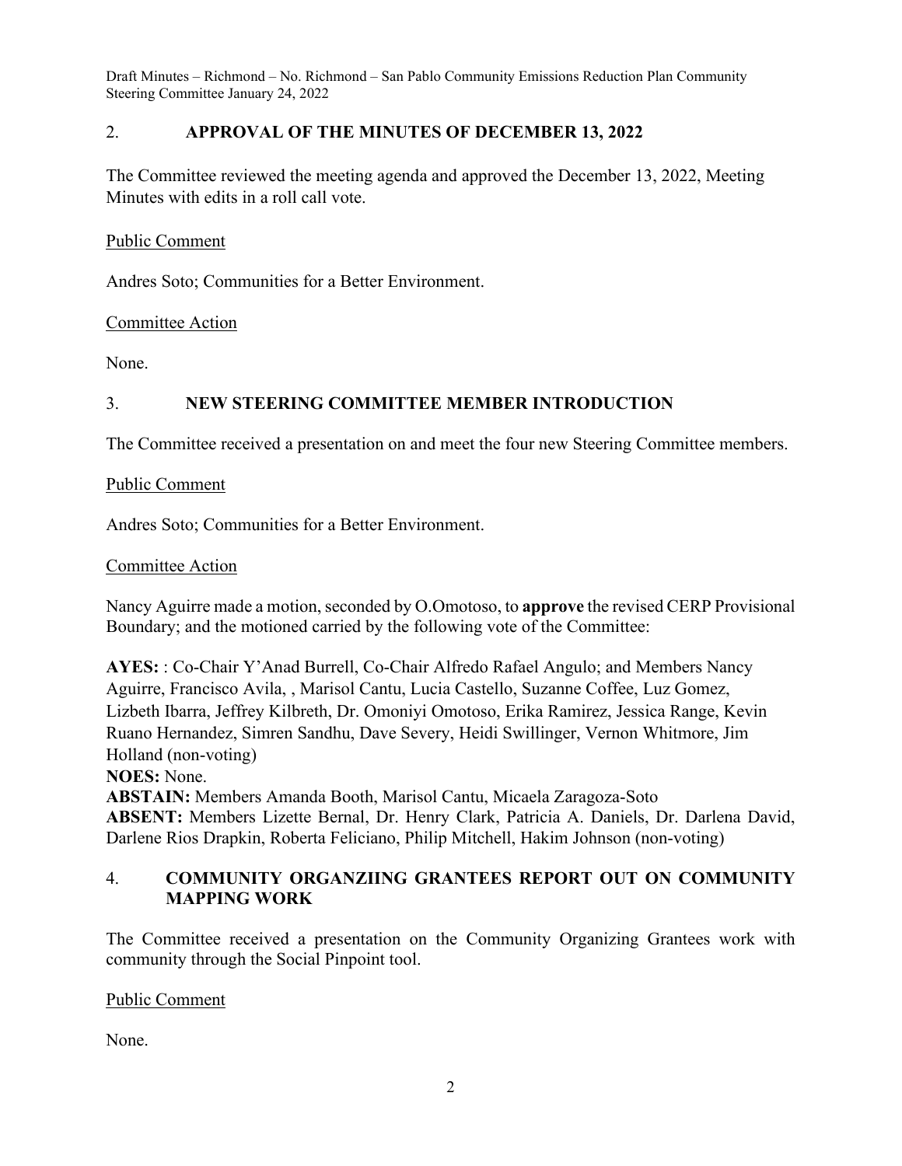## 2. **APPROVAL OF THE MINUTES OF DECEMBER 13, 2022**

The Committee reviewed the meeting agenda and approved the December 13, 2022, Meeting Minutes with edits in a roll call vote.

Public Comment

Andres Soto; Communities for a Better Environment.

Committee Action

None.

## 3. **NEW STEERING COMMITTEE MEMBER INTRODUCTION**

The Committee received a presentation on and meet the four new Steering Committee members.

Public Comment

Andres Soto; Communities for a Better Environment.

#### Committee Action

Nancy Aguirre made a motion, seconded by O.Omotoso, to **approve** the revised CERP Provisional Boundary; and the motioned carried by the following vote of the Committee:

**AYES:** : Co-Chair Y'Anad Burrell, Co-Chair Alfredo Rafael Angulo; and Members Nancy Aguirre, Francisco Avila, , Marisol Cantu, Lucia Castello, Suzanne Coffee, Luz Gomez, Lizbeth Ibarra, Jeffrey Kilbreth, Dr. Omoniyi Omotoso, Erika Ramirez, Jessica Range, Kevin Ruano Hernandez, Simren Sandhu, Dave Severy, Heidi Swillinger, Vernon Whitmore, Jim Holland (non-voting)

**NOES:** None.

**ABSTAIN:** Members Amanda Booth, Marisol Cantu, Micaela Zaragoza-Soto **ABSENT:** Members Lizette Bernal, Dr. Henry Clark, Patricia A. Daniels, Dr. Darlena David, Darlene Rios Drapkin, Roberta Feliciano, Philip Mitchell, Hakim Johnson (non-voting)

## 4. **COMMUNITY ORGANZIING GRANTEES REPORT OUT ON COMMUNITY MAPPING WORK**

The Committee received a presentation on the Community Organizing Grantees work with community through the Social Pinpoint tool.

Public Comment

None.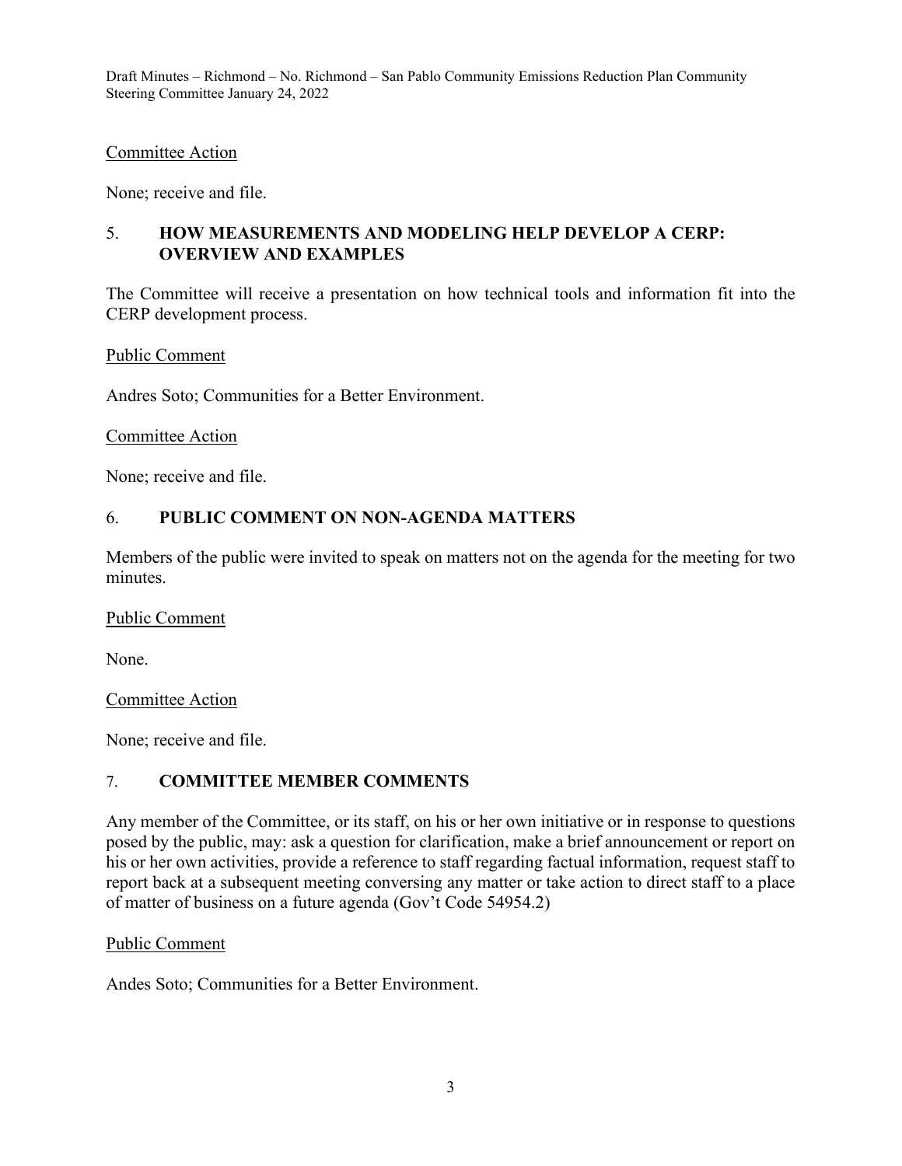#### Committee Action

None; receive and file.

## 5. **HOW MEASUREMENTS AND MODELING HELP DEVELOP A CERP: OVERVIEW AND EXAMPLES**

The Committee will receive a presentation on how technical tools and information fit into the CERP development process.

Public Comment

Andres Soto; Communities for a Better Environment.

#### Committee Action

None; receive and file.

## 6. **PUBLIC COMMENT ON NON-AGENDA MATTERS**

Members of the public were invited to speak on matters not on the agenda for the meeting for two minutes.

#### Public Comment

None.

Committee Action

None; receive and file.

## 7. **COMMITTEE MEMBER COMMENTS**

Any member of the Committee, or its staff, on his or her own initiative or in response to questions posed by the public, may: ask a question for clarification, make a brief announcement or report on his or her own activities, provide a reference to staff regarding factual information, request staff to report back at a subsequent meeting conversing any matter or take action to direct staff to a place of matter of business on a future agenda (Gov't Code 54954.2)

## Public Comment

Andes Soto; Communities for a Better Environment.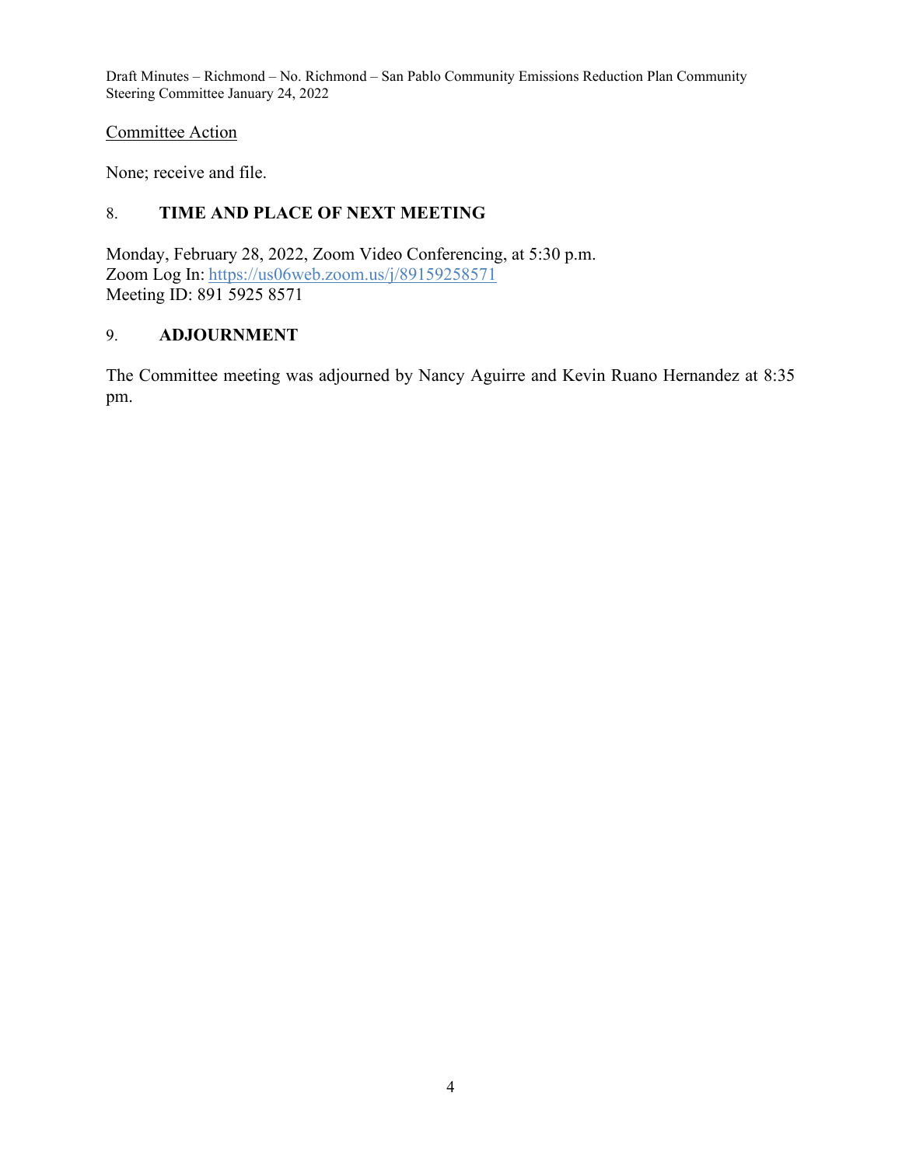## Committee Action

None; receive and file.

## 8. **TIME AND PLACE OF NEXT MEETING**

Monday, February 28, 2022, Zoom Video Conferencing, at 5:30 p.m. Zoom Log In: <https://us06web.zoom.us/j/89159258571> Meeting ID: 891 5925 8571

## 9. **ADJOURNMENT**

The Committee meeting was adjourned by Nancy Aguirre and Kevin Ruano Hernandez at 8:35 pm.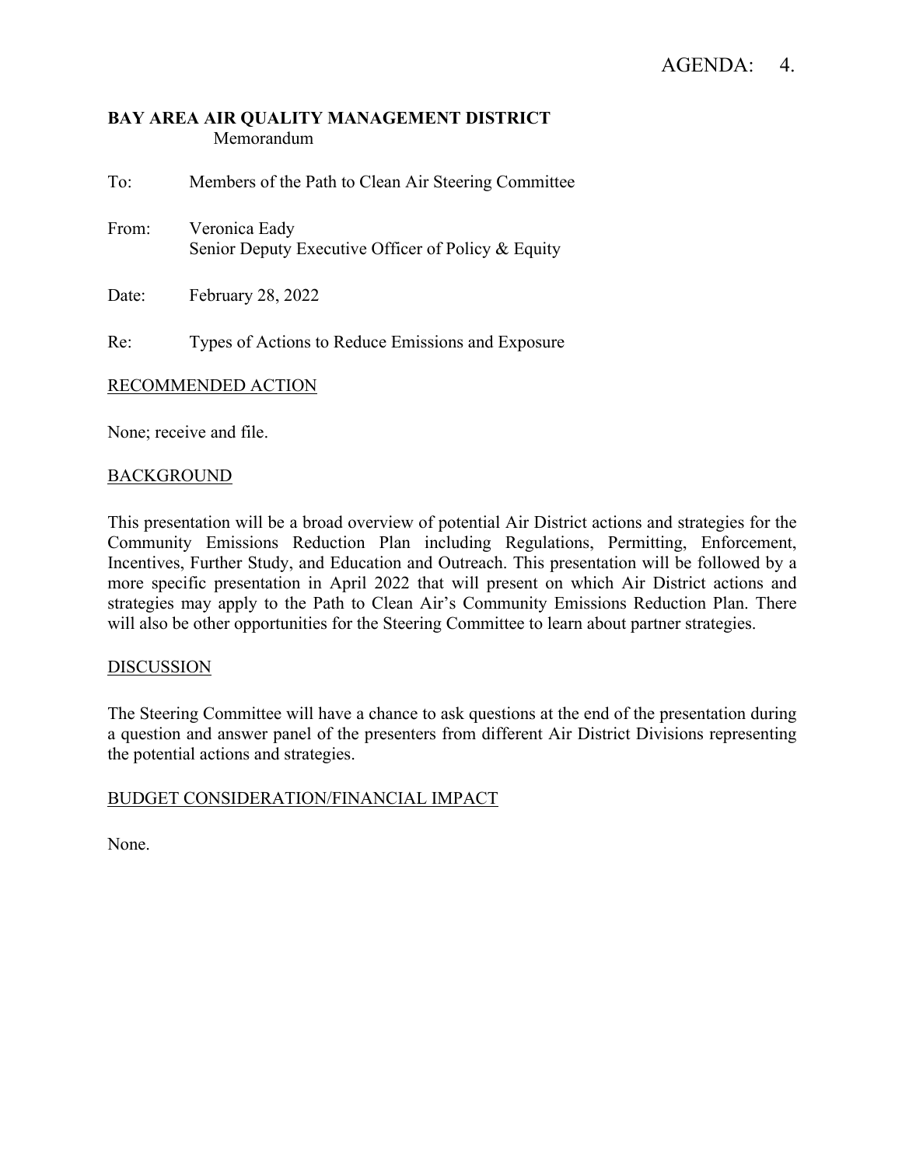## **BAY AREA AIR QUALITY MANAGEMENT DISTRICT** Memorandum

To: Members of the Path to Clean Air Steering Committee From: Veronica Eady Senior Deputy Executive Officer of Policy & Equity

Date: February 28, 2022

Re: Types of Actions to Reduce Emissions and Exposure

## RECOMMENDED ACTION

None; receive and file.

## **BACKGROUND**

This presentation will be a broad overview of potential Air District actions and strategies for the Community Emissions Reduction Plan including Regulations, Permitting, Enforcement, Incentives, Further Study, and Education and Outreach. This presentation will be followed by a more specific presentation in April 2022 that will present on which Air District actions and strategies may apply to the Path to Clean Air's Community Emissions Reduction Plan. There will also be other opportunities for the Steering Committee to learn about partner strategies.

## DISCUSSION

The Steering Committee will have a chance to ask questions at the end of the presentation during a question and answer panel of the presenters from different Air District Divisions representing the potential actions and strategies.

## BUDGET CONSIDERATION/FINANCIAL IMPACT

None.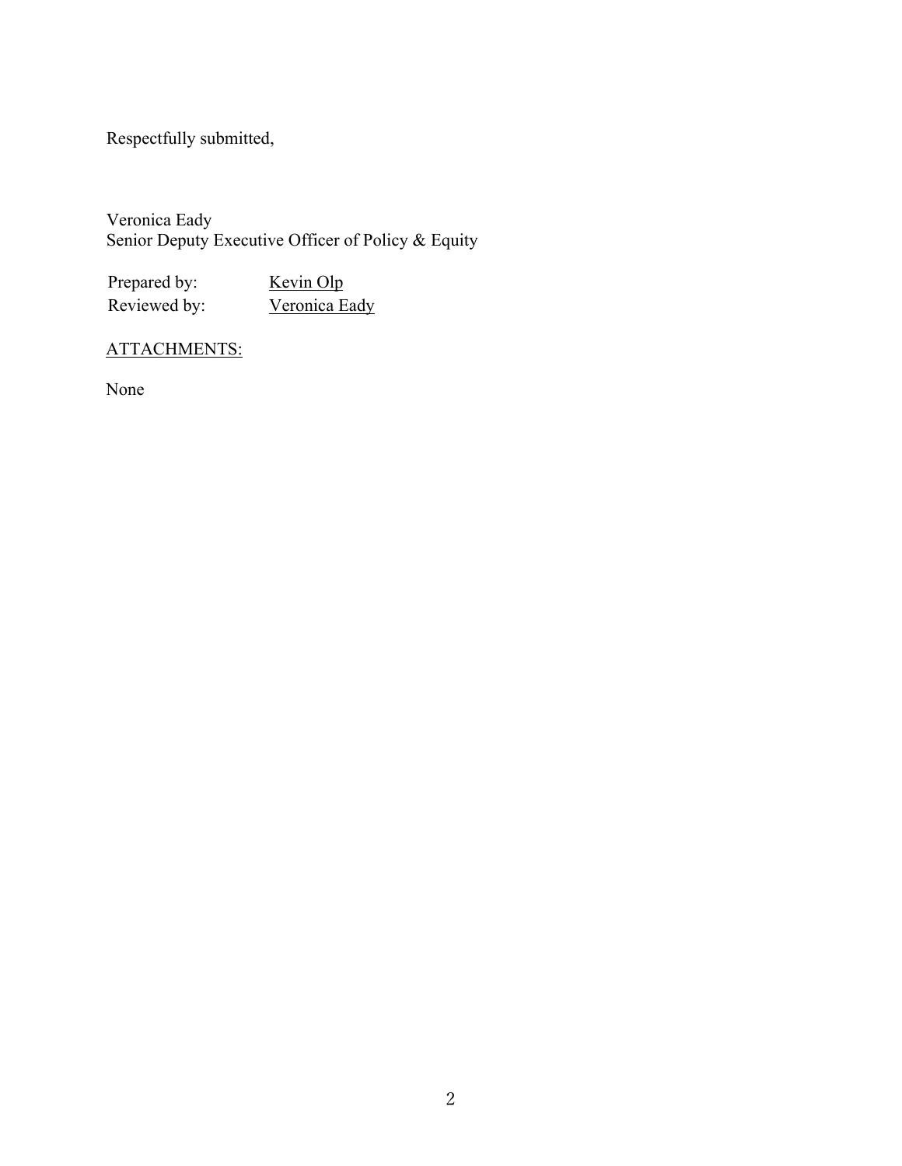Respectfully submitted,

Veronica Eady Senior Deputy Executive Officer of Policy & Equity

Prepared by: Kevin Olp Reviewed by: Veronica Eady

# ATTACHMENTS:

None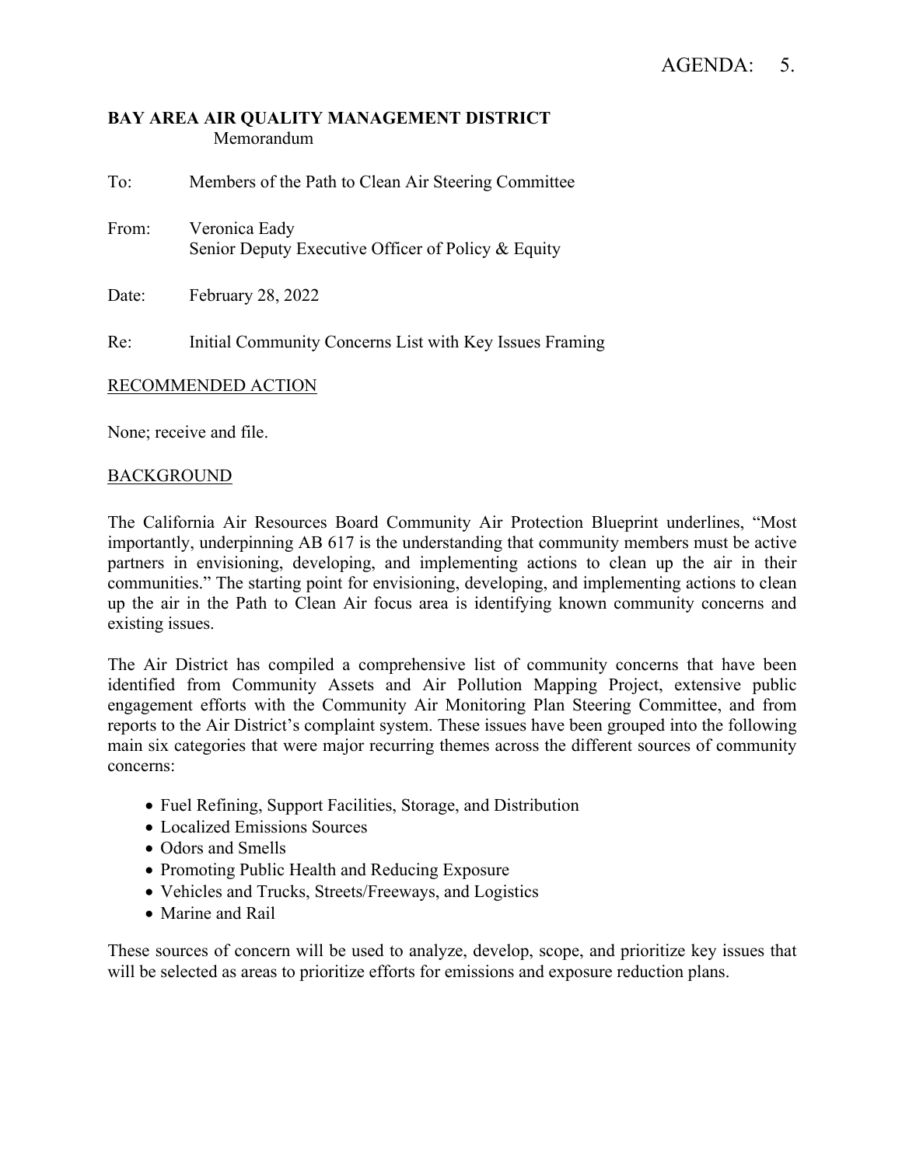## **BAY AREA AIR QUALITY MANAGEMENT DISTRICT** Memorandum

To: Members of the Path to Clean Air Steering Committee From: Veronica Eady Senior Deputy Executive Officer of Policy & Equity

Date: February 28, 2022

Re: Initial Community Concerns List with Key Issues Framing

## RECOMMENDED ACTION

None; receive and file.

## **BACKGROUND**

The California Air Resources Board Community Air Protection Blueprint underlines, "Most importantly, underpinning AB 617 is the understanding that community members must be active partners in envisioning, developing, and implementing actions to clean up the air in their communities." The starting point for envisioning, developing, and implementing actions to clean up the air in the Path to Clean Air focus area is identifying known community concerns and existing issues.

The Air District has compiled a comprehensive list of community concerns that have been identified from Community Assets and Air Pollution Mapping Project, extensive public engagement efforts with the Community Air Monitoring Plan Steering Committee, and from reports to the Air District's complaint system. These issues have been grouped into the following main six categories that were major recurring themes across the different sources of community concerns:

- Fuel Refining, Support Facilities, Storage, and Distribution
- Localized Emissions Sources
- Odors and Smells
- Promoting Public Health and Reducing Exposure
- Vehicles and Trucks, Streets/Freeways, and Logistics
- Marine and Rail

These sources of concern will be used to analyze, develop, scope, and prioritize key issues that will be selected as areas to prioritize efforts for emissions and exposure reduction plans.